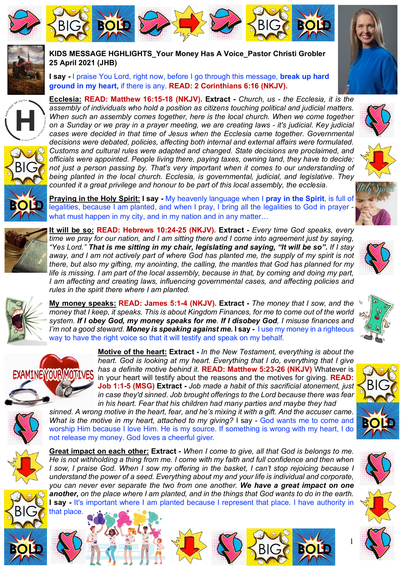





**KIDS MESSAGE HGHLIGHTS\_Your Money Has A Voice\_Pastor Christi Grobler 25 April 2021 (JHB)**

**I say -** I praise You Lord, right now, before I go through this message, **break up hard ground in my heart,** if there is any. **READ: 2 Corinthians 6:16 (NKJV).**

**Ecclesia: READ: Matthew 16:15-18 (NKJV). Extract -** *Church, us - the Ecclesia, it is the assembly of individuals who hold a position as citizens touching political and judicial matters. When such an assembly comes together, here is the local church. When we come together on a Sunday or we pray in a prayer meeting, we are creating laws - it's judicial. Key judicial cases were decided in that time of Jesus when the Ecclesia came together. Governmental decisions were debated, policies, affecting both internal and external affairs were formulated. Customs and cultural rules were adapted and changed. State decisions are proclaimed, and officials were appointed. People living there, paying taxes, owning land, they have to decide; not just a person passing by. That's very important when it comes to our understanding of being planted in the local church. Ecclesia, is governmental, judicial, and legislative. They counted it a great privilege and honour to be part of this local assembly, the ecclesia.* 











BIG

**BOLD**

**Praying in the Holy Spirit: I say -** My heavenly language when I **pray in the Spirit**, is full of legalities, because I am planted, and when I pray, I bring all the legalities to God in prayer what must happen in my city, and in my nation and in any matter…

**It will be so: READ: Hebrews 10:24-25 (NKJV). Extract -** *Every time God speaks, every time we pray for our nation, and I am sitting there and I come into agreement just by saying, "Yes Lord." That is me sitting in my chair, legislating and saying, "It will be so". If I stay*  away, and I am not actively part of where God has planted me, the supply of my spirit is not *there, but also my gifting, my anointing, the calling, the mantles that God has planned for my life is missing. I am part of the local assembly, because in that, by coming and doing my part, I am affecting and creating laws, influencing governmental cases, and affecting policies and rules in the spirit there where I am planted.* 





**My money speaks: READ: James 5:1-4 (NKJV). Extract -** *The money that I sow, and the money that I keep, it speaks. This is about Kingdom Finances, for me to come out of the world system. If I obey God, my money speaks for me. If I disobey God, I misuse finances and I'm not a good steward. Money is speaking against me.* **I say -** I use my money in a righteous way to have the right voice so that it will testify and speak on my behalf.



**Motive of the heart: Extract -** *In the New Testament, everything is about the heart. God is looking at my heart. Everything that I do, everything that I give has a definite motive behind it.* **READ: Matthew 5:23-26 (NKJV)** Whatever is in your heart will testify about the reasons and the motives for giving. **READ: Job 1:1-5 (MSG) Extract -** *Job made a habit of this sacrificial atonement, just in case they'd sinned*. *Job brought offerings to the Lord because there was fear in his heart. Fear that his children had many parties and maybe they had* 

*sinned. A wrong motive in the heart, fear, and he's mixing it with a gift. And the accuser came. What is the motive in my heart, attached to my giving?* I say - God wants me to come and worship Him because I love Him. He is my source. If something is wrong with my heart, I do not release my money. God loves a cheerful giver.

**Great impact on each other: Extract -** *When I come to give, all that God is belongs to me. He is not withholding a thing from me. I come with my faith and full confidence and then when I sow, I praise God. When I sow my offering in the basket, I can't stop rejoicing because I understand the power of a seed. Everything about my and your life is individual and corporate, you can never ever separate the two from one another. We have a great impact on one another, on the place where I am planted, and in the things that God wants to do in the earth.* **I say -** It's important where I am planted because I represent that place. I have authority in that place.









1